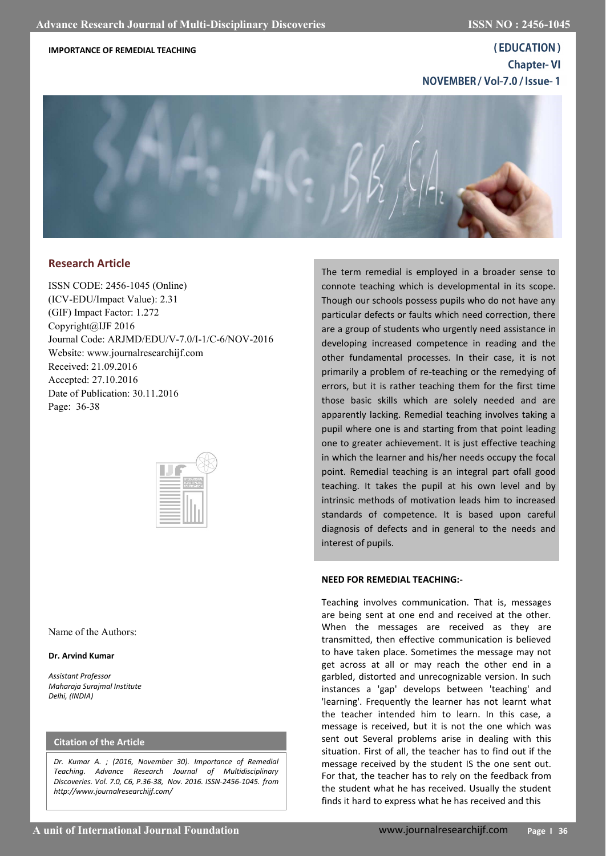### **IMPORTANCE OF REMEDIAL TEACHING**

(EDUCATION) **Chapter-VI** NOVEMBER / Vol-7.0 / Issue-1



# **Research Article**

ISSN CODE: 2456-1045 (Online) (ICV-EDU/Impact Value): 2.31 (GIF) Impact Factor: 1.272 Copyright@IJF 2016 Journal Code: ARJMD/EDU/V-7.0/I-1/C-6/NOV-2016 Website: www.journalresearchijf.com Received: 21.09.2016 Accepted: 27.10.2016 Date of Publication: 30.11.2016 Page: 36-38



Name of the Authors:

#### **Dr. Arvind Kumar**

*Assistant Professor Maharaja Surajmal Institute Delhi, (INDIA)*

### **Citation of the Article**

*Dr. Kumar A. ; (2016, November 30). Importance of Remedial Teaching. Advance Research Journal of Multidisciplinary Discoveries. Vol. 7.0, C6, P.36-38, Nov. 2016. ISSN-2456-1045. from http://www.journalresearchijf.com/*

The term remedial is employed in a broader sense to connote teaching which is developmental in its scope. Though our schools possess pupils who do not have any particular defects or faults which need correction, there are a group of students who urgently need assistance in developing increased competence in reading and the other fundamental processes. In their case, it is not primarily a problem of re-teaching or the remedying of errors, but it is rather teaching them for the first time those basic skills which are solely needed and are apparently lacking. Remedial teaching involves taking a pupil where one is and starting from that point leading one to greater achievement. It is just effective teaching in which the learner and his/her needs occupy the focal point. Remedial teaching is an integral part ofall good teaching. It takes the pupil at his own level and by intrinsic methods of motivation leads him to increased standards of competence. It is based upon careful diagnosis of defects and in general to the needs and interest of pupils.

#### **NEED FOR REMEDIAL TEACHING:-**

Teaching involves communication. That is, messages are being sent at one end and received at the other. When the messages are received as they are transmitted, then effective communication is believed to have taken place. Sometimes the message may not get across at all or may reach the other end in a garbled, distorted and unrecognizable version. In such instances a 'gap' develops between 'teaching' and 'learning'. Frequently the learner has not learnt what the teacher intended him to learn. In this case, a message is received, but it is not the one which was sent out Several problems arise in dealing with this situation. First of all, the teacher has to find out if the message received by the student IS the one sent out. For that, the teacher has to rely on the feedback from the student what he has received. Usually the student finds it hard to express what he has received and this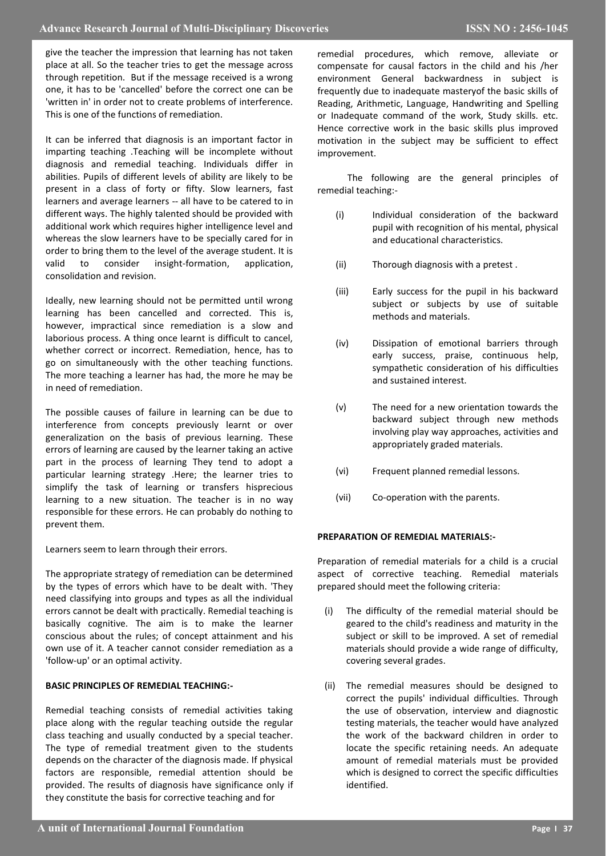give the teacher the impression that learning has not taken place at all. So the teacher tries to get the message across through repetition. But if the message received is a wrong one, it has to be 'cancelled' before the correct one can be 'written in' in order not to create problems of interference. This is one of the functions of remediation.

It can be inferred that diagnosis is an important factor in imparting teaching .Teaching will be incomplete without diagnosis and remedial teaching. Individuals differ in abilities. Pupils of different levels of ability are likely to be present in a class of forty or fifty. Slow learners, fast learners and average learners -- all have to be catered to in different ways. The highly talented should be provided with additional work which requires higher intelligence level and whereas the slow learners have to be specially cared for in order to bring them to the level of the average student. It is valid to consider insight-formation, application, consolidation and revision.

Ideally, new learning should not be permitted until wrong learning has been cancelled and corrected. This is, however, impractical since remediation is a slow and laborious process. A thing once learnt is difficult to cancel, whether correct or incorrect. Remediation, hence, has to go on simultaneously with the other teaching functions. The more teaching a learner has had, the more he may be in need of remediation.

The possible causes of failure in learning can be due to interference from concepts previously learnt or over generalization on the basis of previous learning. These errors of learning are caused by the learner taking an active part in the process of learning They tend to adopt a particular learning strategy .Here; the learner tries to simplify the task of learning or transfers hisprecious learning to a new situation. The teacher is in no way responsible for these errors. He can probably do nothing to prevent them.

Learners seem to learn through their errors.

The appropriate strategy of remediation can be determined by the types of errors which have to be dealt with. 'They need classifying into groups and types as all the individual errors cannot be dealt with practically. Remedial teaching is basically cognitive. The aim is to make the learner conscious about the rules; of concept attainment and his own use of it. A teacher cannot consider remediation as a 'follow-up' or an optimal activity.

## **BASIC PRINCIPLES OF REMEDIAL TEACHING:-**

Remedial teaching consists of remedial activities taking place along with the regular teaching outside the regular class teaching and usually conducted by a special teacher. The type of remedial treatment given to the students depends on the character of the diagnosis made. If physical factors are responsible, remedial attention should be provided. The results of diagnosis have significance only if they constitute the basis for corrective teaching and for

remedial procedures, which remove, alleviate or compensate for causal factors in the child and his /her environment General backwardness in subject is frequently due to inadequate masteryof the basic skills of Reading, Arithmetic, Language, Handwriting and Spelling or Inadequate command of the work, Study skills. etc. Hence corrective work in the basic skills plus improved motivation in the subject may be sufficient to effect improvement.

 The following are the general principles of remedial teaching:-

- (i) Individual consideration of the backward pupil with recognition of his mental, physical and educational characteristics.
- (ii) Thorough diagnosis with a pretest .
- (iii) Early success for the pupil in his backward subject or subjects by use of suitable methods and materials.
- (iv) Dissipation of emotional barriers through early success, praise, continuous help, sympathetic consideration of his difficulties and sustained interest.
- (v) The need for a new orientation towards the backward subject through new methods involving play way approaches, activities and appropriately graded materials.
- (vi) Frequent planned remedial lessons.
- (vii) Co-operation with the parents.

## **PREPARATION OF REMEDIAL MATERIALS:-**

Preparation of remedial materials for a child is a crucial aspect of corrective teaching. Remedial materials prepared should meet the following criteria:

- (i) The difficulty of the remedial material should be geared to the child's readiness and maturity in the subject or skill to be improved. A set of remedial materials should provide a wide range of difficulty, covering several grades.
- (ii) The remedial measures should be designed to correct the pupils' individual difficulties. Through the use of observation, interview and diagnostic testing materials, the teacher would have analyzed the work of the backward children in order to locate the specific retaining needs. An adequate amount of remedial materials must be provided which is designed to correct the specific difficulties identified.